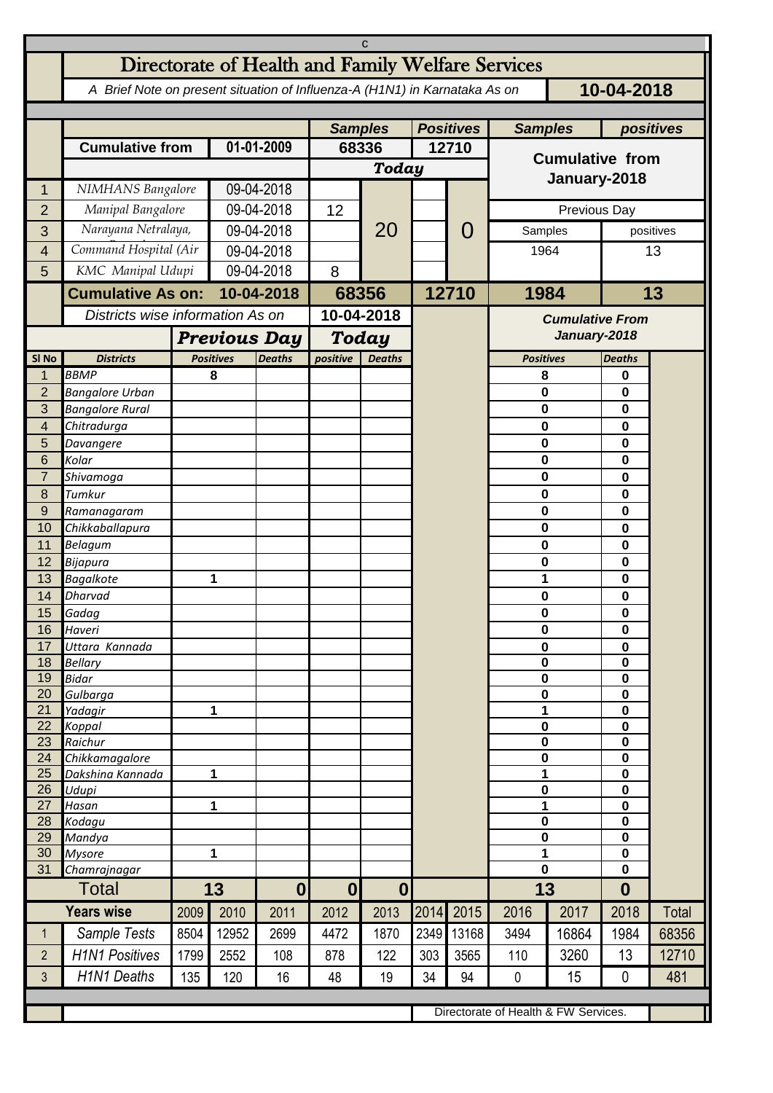| C                    |                                                                                          |                                  |                                   |                  |                           |                |           |           |                                      |                      |                          |       |  |
|----------------------|------------------------------------------------------------------------------------------|----------------------------------|-----------------------------------|------------------|---------------------------|----------------|-----------|-----------|--------------------------------------|----------------------|--------------------------|-------|--|
|                      | Directorate of Health and Family Welfare Services                                        |                                  |                                   |                  |                           |                |           |           |                                      |                      |                          |       |  |
|                      | A Brief Note on present situation of Influenza-A (H1N1) in Karnataka As on<br>10-04-2018 |                                  |                                   |                  |                           |                |           |           |                                      |                      |                          |       |  |
|                      |                                                                                          | <b>Samples</b>                   |                                   | <b>Positives</b> |                           | <b>Samples</b> | positives |           |                                      |                      |                          |       |  |
|                      | <b>Cumulative from</b>                                                                   |                                  | 01-01-2009                        |                  | 68336                     |                | 12710     |           | <b>Cumulative from</b>               |                      |                          |       |  |
|                      |                                                                                          |                                  |                                   |                  | <b>Today</b>              |                |           |           |                                      |                      |                          |       |  |
| 1                    | NIMHANS Bangalore                                                                        |                                  | 09-04-2018                        |                  |                           |                |           |           | January-2018                         |                      |                          |       |  |
| $\overline{2}$       | Manipal Bangalore                                                                        |                                  |                                   | 09-04-2018       |                           |                |           | O         | Previous Day                         |                      |                          |       |  |
| 3                    | Narayana Netralaya,                                                                      |                                  |                                   | 09-04-2018       |                           | 20             |           |           |                                      | Samples<br>positives |                          |       |  |
| 4                    |                                                                                          | Command Hospital (Air            |                                   | 09-04-2018       |                           |                |           |           | 1964                                 |                      | 13                       |       |  |
| 5                    |                                                                                          | KMC Manipal Udupi                |                                   | 09-04-2018       |                           |                |           |           |                                      |                      |                          |       |  |
|                      | <b>Cumulative As on:</b>                                                                 |                                  | 10-04-2018                        |                  | 68356                     |                |           | 12710     | 1984                                 | 13                   |                          |       |  |
|                      |                                                                                          | Districts wise information As on |                                   | 10-04-2018       |                           |                |           |           | <b>Cumulative From</b>               |                      |                          |       |  |
|                      |                                                                                          | <b>Previous Day</b>              |                                   |                  | Today                     |                |           |           |                                      | January-2018         |                          |       |  |
| SI <sub>No</sub>     | <b>Districts</b>                                                                         |                                  | <b>Positives</b><br><b>Deaths</b> |                  | positive<br><b>Deaths</b> |                |           |           | <b>Positives</b>                     |                      | <b>Deaths</b>            |       |  |
| 1                    | <b>BBMP</b>                                                                              |                                  | 8                                 |                  |                           |                |           |           | 8                                    |                      | 0                        |       |  |
| $\overline{2}$       | <b>Bangalore Urban</b>                                                                   |                                  |                                   |                  |                           |                |           |           | 0                                    |                      | 0                        |       |  |
| 3<br>4               | <b>Bangalore Rural</b><br>Chitradurga                                                    |                                  |                                   |                  |                           |                |           |           | 0<br>0                               |                      | 0<br>0                   |       |  |
| 5                    | Davangere                                                                                |                                  |                                   |                  |                           |                |           |           | 0                                    |                      | 0                        |       |  |
| 6                    | Kolar                                                                                    |                                  |                                   |                  |                           |                |           |           | $\mathbf 0$                          |                      | 0                        |       |  |
| $\overline{7}$       | Shivamoga                                                                                |                                  |                                   |                  |                           |                |           |           | 0                                    |                      | 0                        |       |  |
| 8                    | Tumkur                                                                                   |                                  |                                   |                  |                           |                |           |           | 0                                    |                      | 0                        |       |  |
| $\overline{9}$<br>10 | Ramanagaram<br>Chikkaballapura                                                           |                                  |                                   |                  |                           |                |           |           | 0<br>0                               |                      | 0<br>0                   |       |  |
| 11                   | Belagum                                                                                  |                                  |                                   |                  |                           |                |           |           | $\pmb{0}$                            |                      | 0                        |       |  |
| 12                   | Bijapura                                                                                 |                                  |                                   |                  |                           |                |           |           | $\mathbf 0$                          |                      | 0                        |       |  |
| 13                   | <b>Bagalkote</b>                                                                         |                                  | 1                                 |                  |                           |                |           |           | 1                                    |                      | 0                        |       |  |
| 14                   | <b>Dharvad</b>                                                                           |                                  |                                   |                  |                           |                |           |           | 0                                    |                      | 0                        |       |  |
| 15<br>16             | Gadag<br>Haveri                                                                          |                                  |                                   |                  |                           |                |           |           | $\pmb{0}$<br>0                       |                      | 0<br>0                   |       |  |
| 17                   | Uttara Kannada                                                                           |                                  |                                   |                  |                           |                |           |           | $\mathbf 0$                          |                      |                          | 0     |  |
| 18                   | <b>Bellary</b>                                                                           |                                  |                                   |                  |                           |                |           |           | $\pmb{0}$                            |                      | 0                        |       |  |
| 19                   | <b>Bidar</b>                                                                             |                                  |                                   |                  |                           |                |           |           | $\pmb{0}$<br>$\pmb{0}$               |                      | $\mathbf 0$              |       |  |
| 20<br>21             | Gulbarga<br>Yadagir                                                                      |                                  | 1                                 |                  |                           |                |           |           | 1                                    |                      | $\mathbf 0$<br>0         |       |  |
| 22                   | Koppal                                                                                   |                                  |                                   |                  |                           |                |           |           | $\pmb{0}$                            |                      | $\mathbf 0$              |       |  |
| 23                   | Raichur                                                                                  |                                  |                                   |                  |                           |                |           |           | $\pmb{0}$                            |                      | $\mathbf 0$              |       |  |
| 24<br>25             | Chikkamagalore<br>Dakshina Kannada                                                       | 1                                |                                   |                  |                           |                |           |           | $\pmb{0}$<br>1                       |                      | $\mathbf 0$<br>$\pmb{0}$ |       |  |
| 26                   | Udupi                                                                                    |                                  |                                   |                  |                           |                |           |           | $\mathbf 0$                          |                      | 0                        |       |  |
| 27                   | Hasan                                                                                    | 1                                |                                   |                  |                           |                |           |           | 1                                    |                      | 0                        |       |  |
| 28                   | Kodagu                                                                                   |                                  |                                   |                  |                           |                |           |           | 0<br>$\mathbf 0$                     |                      | 0                        |       |  |
| 29<br>30             | Mandya<br><b>Mysore</b>                                                                  | 1                                |                                   |                  |                           |                |           |           | 1                                    | 0<br>0               |                          |       |  |
| 31                   | Chamrajnagar                                                                             |                                  |                                   |                  |                           |                |           |           | 0                                    |                      | $\mathbf 0$              |       |  |
| <b>Total</b>         |                                                                                          | 13                               |                                   | $\boldsymbol{0}$ | 0 <br>$\boldsymbol{0}$    |                |           |           | 13                                   |                      | $\boldsymbol{0}$         |       |  |
|                      | <b>Years wise</b>                                                                        | 2009                             | 2010                              | 2011             | 2012                      | 2013           |           | 2014 2015 | 2016                                 | 2017                 | 2018                     | Total |  |
| $\mathbf{1}$         | Sample Tests                                                                             | 8504                             | 12952                             | 2699             | 4472                      | 1870           | 2349      | 13168     | 3494                                 | 16864                | 1984                     | 68356 |  |
| $\overline{2}$       | <b>H1N1 Positives</b>                                                                    | 1799                             | 2552                              | 108              | 878                       | 122            | 303       | 3565      | 110                                  | 3260                 | 13                       | 12710 |  |
| $\mathbf{3}$         | <b>H1N1 Deaths</b>                                                                       | 135                              | 120                               | 16               | 48                        | 19             | 34        | 94        | $\mathbf{0}$                         | 15                   | $\mathbf{0}$             | 481   |  |
|                      |                                                                                          |                                  |                                   |                  |                           |                |           |           |                                      |                      |                          |       |  |
|                      |                                                                                          |                                  |                                   |                  |                           |                |           |           | Directorate of Health & FW Services. |                      |                          |       |  |